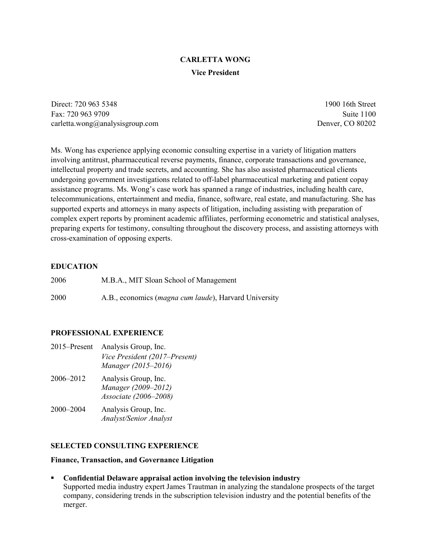# **CARLETTA WONG Vice President**

Direct: 720 963 5348 1900 16th Street Fax: 720 963 9709 Suite 1100 carletta.wong@analysisgroup.com Denver, CO 80202

Ms. Wong has experience applying economic consulting expertise in a variety of litigation matters involving antitrust, pharmaceutical reverse payments, finance, corporate transactions and governance, intellectual property and trade secrets, and accounting. She has also assisted pharmaceutical clients undergoing government investigations related to off-label pharmaceutical marketing and patient copay assistance programs. Ms. Wong's case work has spanned a range of industries, including health care, telecommunications, entertainment and media, finance, software, real estate, and manufacturing. She has supported experts and attorneys in many aspects of litigation, including assisting with preparation of complex expert reports by prominent academic affiliates, performing econometric and statistical analyses, preparing experts for testimony, consulting throughout the discovery process, and assisting attorneys with cross-examination of opposing experts.

#### **EDUCATION**

| 2006 | M.B.A., MIT Sloan School of Management |
|------|----------------------------------------|
|------|----------------------------------------|

2000 A.B., economics (*magna cum laude*), Harvard University

### **PROFESSIONAL EXPERIENCE**

| Analysis Group, Inc.          |
|-------------------------------|
| Vice President (2017–Present) |
| Manager (2015-2016)           |
| Analysis Group, Inc.          |
| Manager (2009–2012)           |
| Associate (2006-2008)         |
| Analysis Group, Inc.          |
| <b>Analyst/Senior Analyst</b> |
|                               |

#### **SELECTED CONSULTING EXPERIENCE**

#### **Finance, Transaction, and Governance Litigation**

 **Confidential Delaware appraisal action involving the television industry** Supported media industry expert James Trautman in analyzing the standalone prospects of the target company, considering trends in the subscription television industry and the potential benefits of the merger.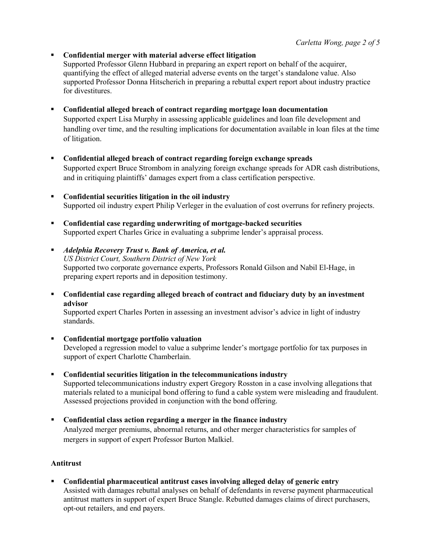**Confidential merger with material adverse effect litigation**

Supported Professor Glenn Hubbard in preparing an expert report on behalf of the acquirer, quantifying the effect of alleged material adverse events on the target's standalone value. Also supported Professor Donna Hitscherich in preparing a rebuttal expert report about industry practice for divestitures.

**Confidential alleged breach of contract regarding mortgage loan documentation**

Supported expert Lisa Murphy in assessing applicable guidelines and loan file development and handling over time, and the resulting implications for documentation available in loan files at the time of litigation.

- **Confidential alleged breach of contract regarding foreign exchange spreads** Supported expert Bruce Strombom in analyzing foreign exchange spreads for ADR cash distributions, and in critiquing plaintiffs' damages expert from a class certification perspective.
- **Confidential securities litigation in the oil industry** Supported oil industry expert Philip Verleger in the evaluation of cost overruns for refinery projects.
- **Confidential case regarding underwriting of mortgage-backed securities** Supported expert Charles Grice in evaluating a subprime lender's appraisal process.
- *Adelphia Recovery Trust v. Bank of America, et al. US District Court, Southern District of New York* Supported two corporate governance experts, Professors Ronald Gilson and Nabil El-Hage, in preparing expert reports and in deposition testimony.
- **Confidential case regarding alleged breach of contract and fiduciary duty by an investment advisor**

Supported expert Charles Porten in assessing an investment advisor's advice in light of industry standards.

- **Confidential mortgage portfolio valuation** Developed a regression model to value a subprime lender's mortgage portfolio for tax purposes in support of expert Charlotte Chamberlain.
- **Confidential securities litigation in the telecommunications industry** Supported telecommunications industry expert Gregory Rosston in a case involving allegations that materials related to a municipal bond offering to fund a cable system were misleading and fraudulent. Assessed projections provided in conjunction with the bond offering.
- **Confidential class action regarding a merger in the finance industry** Analyzed merger premiums, abnormal returns, and other merger characteristics for samples of mergers in support of expert Professor Burton Malkiel.

#### **Antitrust**

 **Confidential pharmaceutical antitrust cases involving alleged delay of generic entry** Assisted with damages rebuttal analyses on behalf of defendants in reverse payment pharmaceutical antitrust matters in support of expert Bruce Stangle. Rebutted damages claims of direct purchasers, opt-out retailers, and end payers.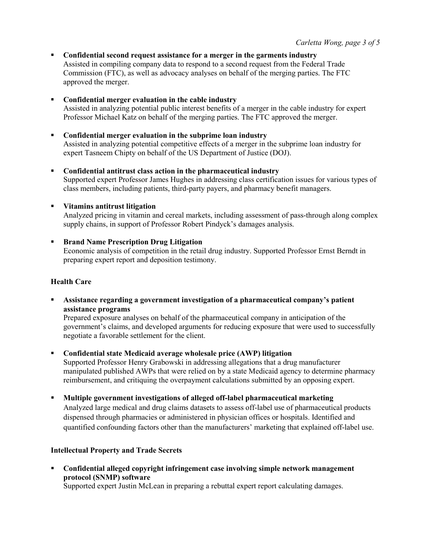- **Confidential second request assistance for a merger in the garments industry** Assisted in compiling company data to respond to a second request from the Federal Trade Commission (FTC), as well as advocacy analyses on behalf of the merging parties. The FTC approved the merger.
- **Confidential merger evaluation in the cable industry** Assisted in analyzing potential public interest benefits of a merger in the cable industry for expert Professor Michael Katz on behalf of the merging parties. The FTC approved the merger.
- **Confidential merger evaluation in the subprime loan industry** Assisted in analyzing potential competitive effects of a merger in the subprime loan industry for expert Tasneem Chipty on behalf of the US Department of Justice (DOJ).
- **Confidential antitrust class action in the pharmaceutical industry** Supported expert Professor James Hughes in addressing class certification issues for various types of class members, including patients, third-party payers, and pharmacy benefit managers.

### **Vitamins antitrust litigation**

Analyzed pricing in vitamin and cereal markets, including assessment of pass-through along complex supply chains, in support of Professor Robert Pindyck's damages analysis.

### **Brand Name Prescription Drug Litigation**

Economic analysis of competition in the retail drug industry. Supported Professor Ernst Berndt in preparing expert report and deposition testimony.

#### **Health Care**

 **Assistance regarding a government investigation of a pharmaceutical company's patient assistance programs**

Prepared exposure analyses on behalf of the pharmaceutical company in anticipation of the government's claims, and developed arguments for reducing exposure that were used to successfully negotiate a favorable settlement for the client.

**Confidential state Medicaid average wholesale price (AWP) litigation**

Supported Professor Henry Grabowski in addressing allegations that a drug manufacturer manipulated published AWPs that were relied on by a state Medicaid agency to determine pharmacy reimbursement, and critiquing the overpayment calculations submitted by an opposing expert.

**Multiple government investigations of alleged off-label pharmaceutical marketing**

Analyzed large medical and drug claims datasets to assess off-label use of pharmaceutical products dispensed through pharmacies or administered in physician offices or hospitals. Identified and quantified confounding factors other than the manufacturers' marketing that explained off-label use.

### **Intellectual Property and Trade Secrets**

 **Confidential alleged copyright infringement case involving simple network management protocol (SNMP) software**

Supported expert Justin McLean in preparing a rebuttal expert report calculating damages.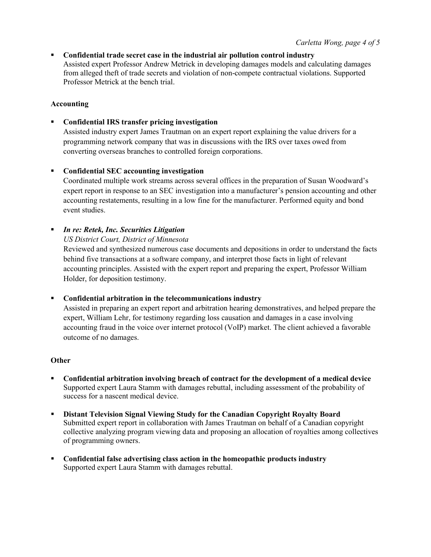**Confidential trade secret case in the industrial air pollution control industry** Assisted expert Professor Andrew Metrick in developing damages models and calculating damages from alleged theft of trade secrets and violation of non-compete contractual violations. Supported Professor Metrick at the bench trial.

## **Accounting**

**Confidential IRS transfer pricing investigation**

Assisted industry expert James Trautman on an expert report explaining the value drivers for a programming network company that was in discussions with the IRS over taxes owed from converting overseas branches to controlled foreign corporations.

### **Confidential SEC accounting investigation**

Coordinated multiple work streams across several offices in the preparation of Susan Woodward's expert report in response to an SEC investigation into a manufacturer's pension accounting and other accounting restatements, resulting in a low fine for the manufacturer. Performed equity and bond event studies.

# *In re: Retek, Inc. Securities Litigation*

*US District Court, District of Minnesota*

Reviewed and synthesized numerous case documents and depositions in order to understand the facts behind five transactions at a software company, and interpret those facts in light of relevant accounting principles. Assisted with the expert report and preparing the expert, Professor William Holder, for deposition testimony.

### **Confidential arbitration in the telecommunications industry**

Assisted in preparing an expert report and arbitration hearing demonstratives, and helped prepare the expert, William Lehr, for testimony regarding loss causation and damages in a case involving accounting fraud in the voice over internet protocol (VoIP) market. The client achieved a favorable outcome of no damages.

### **Other**

- **Confidential arbitration involving breach of contract for the development of a medical device** Supported expert Laura Stamm with damages rebuttal, including assessment of the probability of success for a nascent medical device.
- **Distant Television Signal Viewing Study for the Canadian Copyright Royalty Board** Submitted expert report in collaboration with James Trautman on behalf of a Canadian copyright collective analyzing program viewing data and proposing an allocation of royalties among collectives of programming owners.
- **Confidential false advertising class action in the homeopathic products industry** Supported expert Laura Stamm with damages rebuttal.